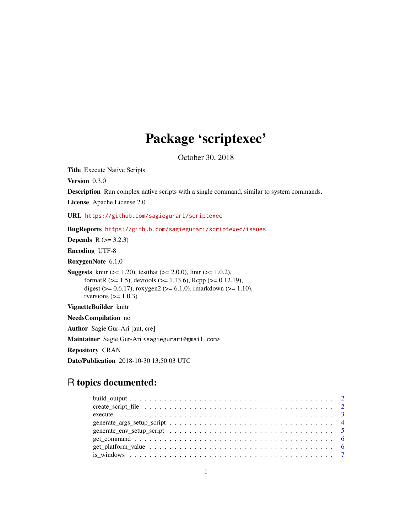# Package 'scriptexec'

October 30, 2018

Title Execute Native Scripts

Version 0.3.0

Description Run complex native scripts with a single command, similar to system commands.

License Apache License 2.0

URL <https://github.com/sagiegurari/scriptexec>

BugReports <https://github.com/sagiegurari/scriptexec/issues>

**Depends**  $R$  ( $>= 3.2.3$ )

Encoding UTF-8

RoxygenNote 6.1.0

**Suggests** knitr ( $>= 1.20$ ), test that ( $>= 2.0.0$ ), lintr ( $>= 1.0.2$ ), formatR (>= 1.5), devtools (>= 1.13.6), Rcpp (>= 0.12.19), digest ( $> = 0.6.17$ ), roxygen2 ( $>= 6.1.0$ ), rmarkdown ( $>= 1.10$ ), rversions  $(>= 1.0.3)$ 

VignetteBuilder knitr

NeedsCompilation no

Author Sagie Gur-Ari [aut, cre]

Maintainer Sagie Gur-Ari <sagiegurari@gmail.com>

Repository CRAN

Date/Publication 2018-10-30 13:50:03 UTC

# R topics documented:

| generate_env_setup_script $\dots \dots \dots \dots \dots \dots \dots \dots \dots \dots \dots \dots \dots \dots \dots$ |  |
|-----------------------------------------------------------------------------------------------------------------------|--|
|                                                                                                                       |  |
|                                                                                                                       |  |
|                                                                                                                       |  |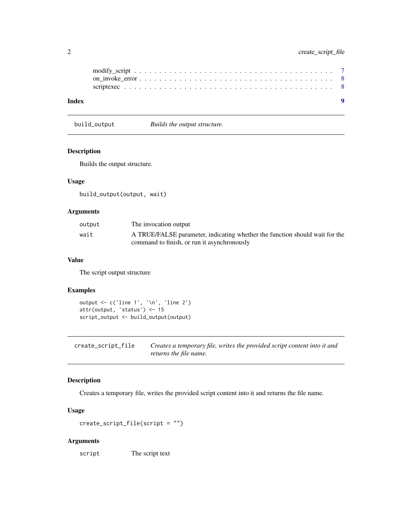<span id="page-1-0"></span>

| Index |  |  |  |  |  |  |  |  |  |  |  |  |  |  |  |  | $\bullet$ |  |
|-------|--|--|--|--|--|--|--|--|--|--|--|--|--|--|--|--|-----------|--|
|       |  |  |  |  |  |  |  |  |  |  |  |  |  |  |  |  |           |  |
|       |  |  |  |  |  |  |  |  |  |  |  |  |  |  |  |  |           |  |
|       |  |  |  |  |  |  |  |  |  |  |  |  |  |  |  |  |           |  |

build\_output *Builds the output structure.*

#### Description

Builds the output structure.

# Usage

build\_output(output, wait)

# Arguments

| output | The invocation output                                                       |
|--------|-----------------------------------------------------------------------------|
| wait   | A TRUE/FALSE parameter, indicating whether the function should wait for the |
|        | command to finish, or run it asynchronously                                 |

# Value

The script output structure

### Examples

```
output <- c('line 1', '\n', 'line 2')
attr(output, 'status') <- 15
script_output <- build_output(output)
```
create\_script\_file *Creates a temporary file, writes the provided script content into it and returns the file name.*

# Description

Creates a temporary file, writes the provided script content into it and returns the file name.

# Usage

```
create_script_file(script = "")
```
#### Arguments

script The script text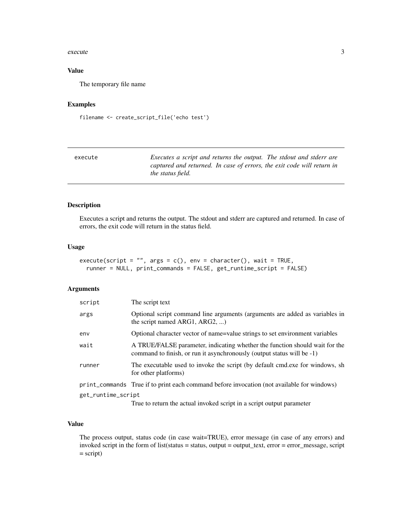#### <span id="page-2-0"></span>execute 3

# Value

The temporary file name

# Examples

filename <- create\_script\_file('echo test')

| execute | Executes a script and returns the output. The stdout and stderr are                                |
|---------|----------------------------------------------------------------------------------------------------|
|         | captured and returned. In case of errors, the exit code will return in<br><i>the status field.</i> |

#### Description

Executes a script and returns the output. The stdout and stderr are captured and returned. In case of errors, the exit code will return in the status field.

# Usage

```
execute(script = ", args = c(), env = character(), wait = TRUE,
  runner = NULL, print_commands = FALSE, get_runtime_script = FALSE)
```
# Arguments

| script             | The script text                                                                                                                                                                                                                    |
|--------------------|------------------------------------------------------------------------------------------------------------------------------------------------------------------------------------------------------------------------------------|
| args               | Optional script command line arguments (arguments are added as variables in<br>the script named ARG1, ARG2, )                                                                                                                      |
| env                | Optional character vector of name=value strings to set environment variables                                                                                                                                                       |
| wait               | A TRUE/FALSE parameter, indicating whether the function should wait for the<br>command to finish, or run it asynchronously (output status will be -1)                                                                              |
| runner             | The executable used to invoke the script (by default cmd.exe for windows, sh<br>for other platforms)                                                                                                                               |
|                    | print_commands True if to print each command before invocation (not available for windows)                                                                                                                                         |
| get_runtime_script | $\mathcal{A}$ . The state of the state of the state of the state of the state of the state of the state of the state of the state of the state of the state of the state of the state of the state of the state of the state of th |

True to return the actual invoked script in a script output parameter

#### Value

The process output, status code (in case wait=TRUE), error message (in case of any errors) and invoked script in the form of list(status = status, output = output\_text, error = error\_message, script  $=$  script $)$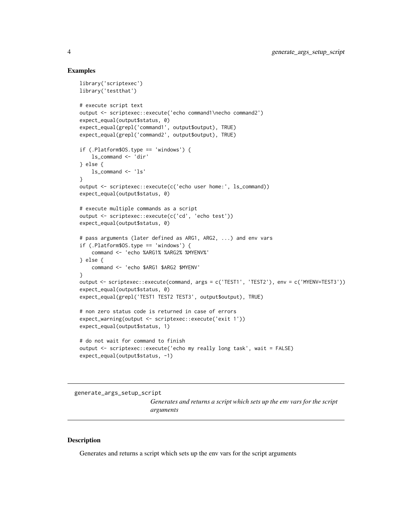#### Examples

```
library('scriptexec')
library('testthat')
# execute script text
output <- scriptexec::execute('echo command1\necho command2')
expect_equal(output$status, 0)
expect_equal(grepl('command1', output$output), TRUE)
expect_equal(grepl('command2', output$output), TRUE)
if (.Platform$OS.type == 'windows') {
    ls_command <- 'dir'
} else {
   ls_command <- 'ls'
}
output <- scriptexec::execute(c('echo user home:', ls_command))
expect_equal(output$status, 0)
# execute multiple commands as a script
output <- scriptexec::execute(c('cd', 'echo test'))
expect_equal(output$status, 0)
# pass arguments (later defined as ARG1, ARG2, ...) and env vars
if (.Platform$OS.type == 'windows') {
    command <- 'echo %ARG1% %ARG2% %MYENV%'
} else {
    command <- 'echo $ARG1 $ARG2 $MYENV'
}
output <- scriptexec::execute(command, args = c('TEST1', 'TEST2'), env = c('MYENV=TEST3'))
expect_equal(output$status, 0)
expect_equal(grepl('TEST1 TEST2 TEST3', output$output), TRUE)
# non zero status code is returned in case of errors
expect_warning(output <- scriptexec::execute('exit 1'))
expect_equal(output$status, 1)
# do not wait for command to finish
output <- scriptexec::execute('echo my really long task', wait = FALSE)
expect_equal(output$status, -1)
```
generate\_args\_setup\_script

*Generates and returns a script which sets up the env vars for the script arguments*

# **Description**

Generates and returns a script which sets up the env vars for the script arguments

<span id="page-3-0"></span>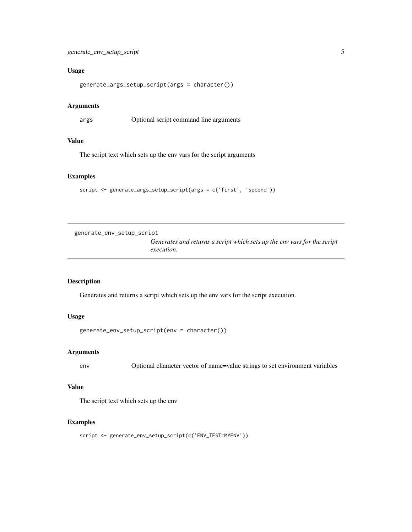# <span id="page-4-0"></span>Usage

generate\_args\_setup\_script(args = character())

#### **Arguments**

args Optional script command line arguments

# Value

The script text which sets up the env vars for the script arguments

# Examples

```
script <- generate_args_setup_script(args = c('first', 'second'))
```
generate\_env\_setup\_script

*Generates and returns a script which sets up the env vars for the script execution.*

### Description

Generates and returns a script which sets up the env vars for the script execution.

# Usage

```
generate_env_setup_script(env = character())
```
# Arguments

env Optional character vector of name=value strings to set environment variables

#### Value

The script text which sets up the env

#### Examples

```
script <- generate_env_setup_script(c('ENV_TEST=MYENV'))
```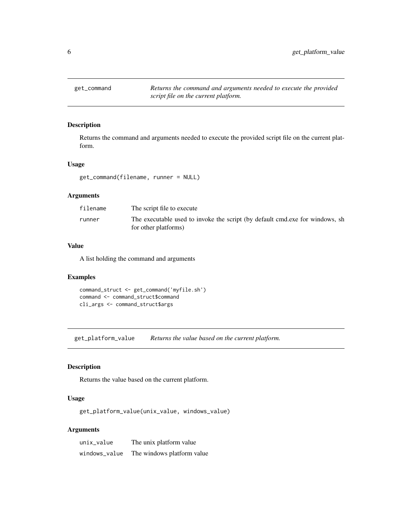<span id="page-5-0"></span>get\_command *Returns the command and arguments needed to execute the provided script file on the current platform.*

#### Description

Returns the command and arguments needed to execute the provided script file on the current platform.

#### Usage

get\_command(filename, runner = NULL)

# Arguments

| filename | The script file to execute                                                                           |
|----------|------------------------------------------------------------------------------------------------------|
| runner   | The executable used to invoke the script (by default cmd.exe for windows, sh<br>for other platforms) |

# Value

A list holding the command and arguments

# Examples

```
command_struct <- get_command('myfile.sh')
command <- command_struct$command
cli_args <- command_struct$args
```
get\_platform\_value *Returns the value based on the current platform.*

#### Description

Returns the value based on the current platform.

### Usage

get\_platform\_value(unix\_value, windows\_value)

#### Arguments

| unix_value    | The unix platform value    |
|---------------|----------------------------|
| windows_value | The windows platform value |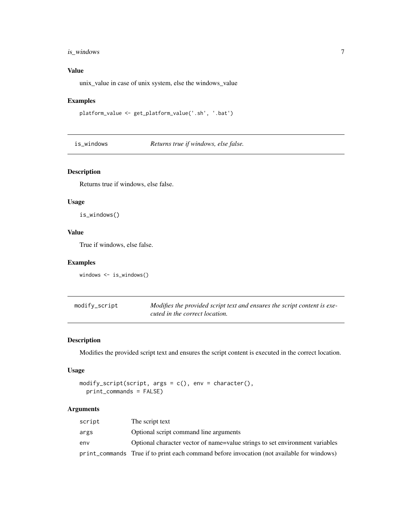# <span id="page-6-0"></span>is\_windows 7

# Value

unix\_value in case of unix system, else the windows\_value

#### Examples

```
platform_value <- get_platform_value('.sh', '.bat')
```
is\_windows *Returns true if windows, else false.*

# Description

Returns true if windows, else false.

#### Usage

is\_windows()

# Value

True if windows, else false.

#### Examples

```
windows <- is_windows()
```

| modify_script | Modifies the provided script text and ensures the script content is exe- |
|---------------|--------------------------------------------------------------------------|
|               | cuted in the correct location.                                           |

# Description

Modifies the provided script text and ensures the script content is executed in the correct location.

#### Usage

```
modify_script(script, args = c(), env = character(),
 print_commands = FALSE)
```
# Arguments

| script | The script text                                                                            |
|--------|--------------------------------------------------------------------------------------------|
| args   | Optional script command line arguments                                                     |
| env    | Optional character vector of name=value strings to set environment variables               |
|        | print_commands True if to print each command before invocation (not available for windows) |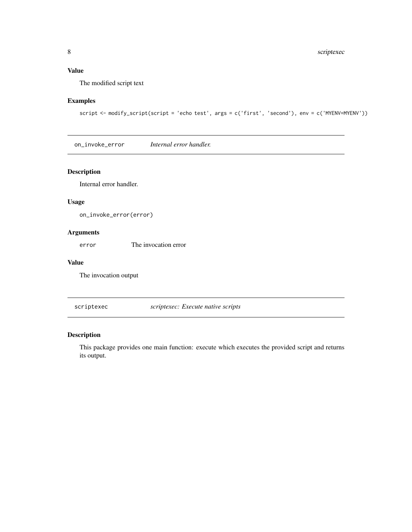# <span id="page-7-0"></span>Value

The modified script text

# Examples

```
script <- modify_script(script = 'echo test', args = c('first', 'second'), env = c('MYENV=MYENV'))
```
on\_invoke\_error *Internal error handler.*

# Description

Internal error handler.

# Usage

on\_invoke\_error(error)

# Arguments

error The invocation error

# Value

The invocation output

scriptexec *scriptexec: Execute native scripts*

# Description

This package provides one main function: execute which executes the provided script and returns its output.